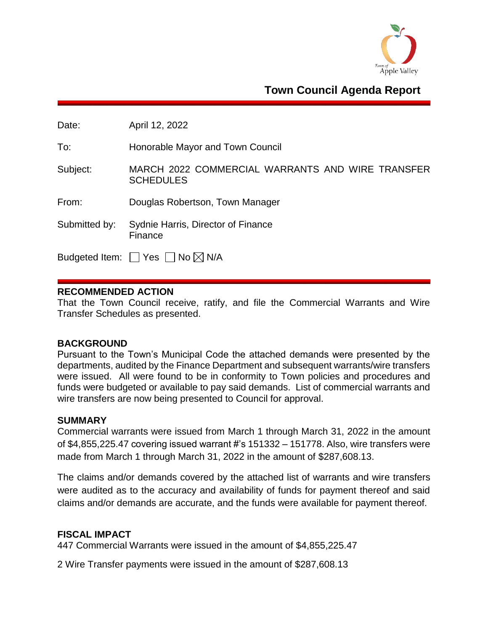

## **Town Council Agenda Report**

| Date:         | April 12, 2022                                                       |
|---------------|----------------------------------------------------------------------|
| To:           | Honorable Mayor and Town Council                                     |
| Subject:      | MARCH 2022 COMMERCIAL WARRANTS AND WIRE TRANSFER<br><b>SCHEDULES</b> |
| From:         | Douglas Robertson, Town Manager                                      |
| Submitted by: | Sydnie Harris, Director of Finance<br>Finance                        |
|               | Budgeted Item: $\Box$ Yes $\Box$ No $\boxtimes$ N/A                  |

### **RECOMMENDED ACTION**

That the Town Council receive, ratify, and file the Commercial Warrants and Wire Transfer Schedules as presented.

#### **BACKGROUND**

Pursuant to the Town's Municipal Code the attached demands were presented by the departments, audited by the Finance Department and subsequent warrants/wire transfers were issued. All were found to be in conformity to Town policies and procedures and funds were budgeted or available to pay said demands. List of commercial warrants and wire transfers are now being presented to Council for approval.

#### **SUMMARY**

Commercial warrants were issued from March 1 through March 31, 2022 in the amount of \$4,855,225.47 covering issued warrant #'s 151332 – 151778. Also, wire transfers were made from March 1 through March 31, 2022 in the amount of \$287,608.13.

The claims and/or demands covered by the attached list of warrants and wire transfers were audited as to the accuracy and availability of funds for payment thereof and said claims and/or demands are accurate, and the funds were available for payment thereof.

### **FISCAL IMPACT**

447 Commercial Warrants were issued in the amount of \$4,855,225.47

2 Wire Transfer payments were issued in the amount of \$287,608.13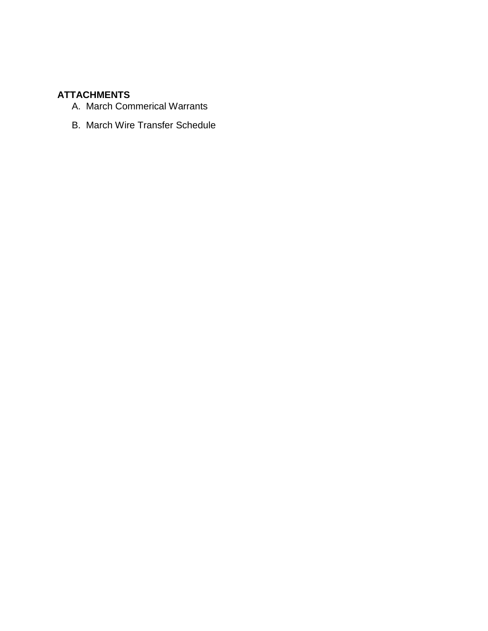## **ATTACHMENTS**

- A. March Commerical Warrants
- B. March Wire Transfer Schedule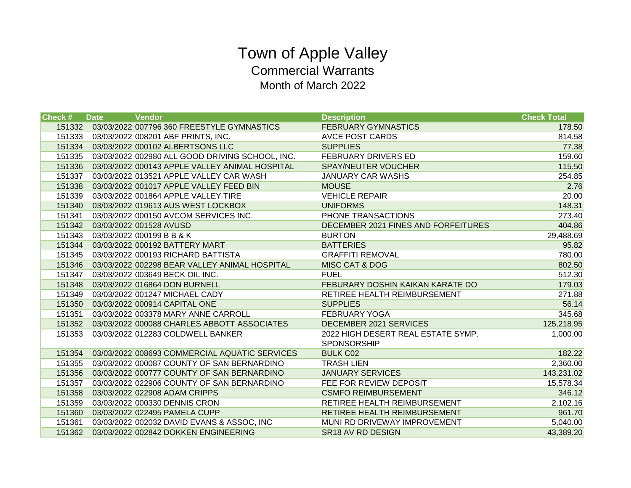# Town of Apple Valley Commercial Warrants Month of March 2022

| Check # | <b>Vendor</b><br><b>Date</b>                    | <b>Description</b>                  | <b>Check Total</b> |
|---------|-------------------------------------------------|-------------------------------------|--------------------|
| 151332  | 03/03/2022 007796 360 FREESTYLE GYMNASTICS      | <b>FEBRUARY GYMNASTICS</b>          | 178.50             |
| 151333  | 03/03/2022 008201 ABF PRINTS, INC.              | AVCE POST CARDS                     | 814.58             |
| 151334  | 03/03/2022 000102 ALBERTSONS LLC                | <b>SUPPLIES</b>                     | 77.38              |
| 151335  | 03/03/2022 002980 ALL GOOD DRIVING SCHOOL, INC. | <b>FEBRUARY DRIVERS ED</b>          | 159.60             |
| 151336  | 03/03/2022 000143 APPLE VALLEY ANIMAL HOSPITAL  | SPAY/NEUTER VOUCHER                 | 115.50             |
| 151337  | 03/03/2022 013521 APPLE VALLEY CAR WASH         | <b>JANUARY CAR WASHS</b>            | 254.85             |
| 151338  | 03/03/2022 001017 APPLE VALLEY FEED BIN         | <b>MOUSE</b>                        | 2.76               |
| 151339  | 03/03/2022 001864 APPLE VALLEY TIRE             | <b>VEHICLE REPAIR</b>               | 20.00              |
| 151340  | 03/03/2022 019613 AUS WEST LOCKBOX              | <b>UNIFORMS</b>                     | 148.31             |
| 151341  | 03/03/2022 000150 AVCOM SERVICES INC.           | PHONE TRANSACTIONS                  | 273.40             |
| 151342  | 03/03/2022 001528 AVUSD                         | DECEMBER 2021 FINES AND FORFEITURES | 404.86             |
| 151343  | 03/03/2022 000199 B B & K                       | <b>BURTON</b>                       | 29,488.69          |
| 151344  | 03/03/2022 000192 BATTERY MART                  | <b>BATTERIES</b>                    | 95.82              |
| 151345  | 03/03/2022 000193 RICHARD BATTISTA              | <b>GRAFFITI REMOVAL</b>             | 780.00             |
| 151346  | 03/03/2022 002298 BEAR VALLEY ANIMAL HOSPITAL   | <b>MISC CAT &amp; DOG</b>           | 802.50             |
| 151347  | 03/03/2022 003649 BECK OIL INC.                 | <b>FUEL</b>                         | 512.30             |
| 151348  | 03/03/2022 016864 DON BURNELL                   | FEBURARY DOSHIN KAIKAN KARATE DO    | 179.03             |
| 151349  | 03/03/2022 001247 MICHAEL CADY                  | RETIREE HEALTH REIMBURSEMENT        | 271.88             |
| 151350  | 03/03/2022 000914 CAPITAL ONE                   | <b>SUPPLIES</b>                     | 56.14              |
| 151351  | 03/03/2022 003378 MARY ANNE CARROLL             | <b>FEBRUARY YOGA</b>                | 345.68             |
| 151352  | 03/03/2022 000088 CHARLES ABBOTT ASSOCIATES     | DECEMBER 2021 SERVICES              | 125,218.95         |
| 151353  | 03/03/2022 012283 COLDWELL BANKER               | 2022 HIGH DESERT REAL ESTATE SYMP.  | 1,000.00           |
|         |                                                 | <b>SPONSORSHIP</b>                  |                    |
| 151354  | 03/03/2022 008693 COMMERCIAL AQUATIC SERVICES   | <b>BULK C02</b>                     | 182.22             |
| 151355  | 03/03/2022 000087 COUNTY OF SAN BERNARDINO      | <b>TRASH LIEN</b>                   | 2,360.00           |
| 151356  | 03/03/2022 000777 COUNTY OF SAN BERNARDINO      | <b>JANUARY SERVICES</b>             | 143,231.02         |
| 151357  | 03/03/2022 022906 COUNTY OF SAN BERNARDINO      | FEE FOR REVIEW DEPOSIT              | 15,578.34          |
| 151358  | 03/03/2022 022908 ADAM CRIPPS                   | <b>CSMFO REIMBURSEMENT</b>          | 346.12             |
| 151359  | 03/03/2022 000330 DENNIS CRON                   | RETIREE HEALTH REIMBURSEMENT        | 2,102.16           |
| 151360  | 03/03/2022 022495 PAMELA CUPP                   | RETIREE HEALTH REIMBURSEMENT        | 961.70             |
| 151361  | 03/03/2022 002032 DAVID EVANS & ASSOC, INC      | MUNI RD DRIVEWAY IMPROVEMENT        | 5,040.00           |
| 151362  | 03/03/2022 002842 DOKKEN ENGINEERING            | SR18 AV RD DESIGN                   | 43,389.20          |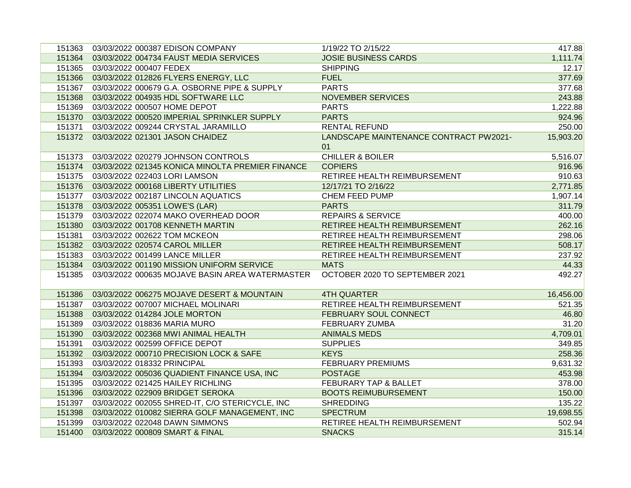|        | 151363 03/03/2022 000387 EDISON COMPANY                 | 1/19/22 TO 2/15/22                     | 417.88    |
|--------|---------------------------------------------------------|----------------------------------------|-----------|
| 151364 | 03/03/2022 004734 FAUST MEDIA SERVICES                  | <b>JOSIE BUSINESS CARDS</b>            | 1,111.74  |
| 151365 | 03/03/2022 000407 FEDEX                                 | <b>SHIPPING</b>                        | 12.17     |
| 151366 | 03/03/2022 012826 FLYERS ENERGY, LLC                    | <b>FUEL</b>                            | 377.69    |
| 151367 | 03/03/2022 000679 G.A. OSBORNE PIPE & SUPPLY            | <b>PARTS</b>                           | 377.68    |
| 151368 | 03/03/2022 004935 HDL SOFTWARE LLC                      | <b>NOVEMBER SERVICES</b>               | 243.88    |
| 151369 | 03/03/2022 000507 HOME DEPOT                            | <b>PARTS</b>                           | 1,222.88  |
|        | 151370 03/03/2022 000520 IMPERIAL SPRINKLER SUPPLY      | <b>PARTS</b>                           | 924.96    |
| 151371 | 03/03/2022 009244 CRYSTAL JARAMILLO                     | <b>RENTAL REFUND</b>                   | 250.00    |
|        | 151372 03/03/2022 021301 JASON CHAIDEZ                  | LANDSCAPE MAINTENANCE CONTRACT PW2021- | 15,903.20 |
|        |                                                         | 01                                     |           |
| 151373 | 03/03/2022 020279 JOHNSON CONTROLS                      | <b>CHILLER &amp; BOILER</b>            | 5,516.07  |
|        | 151374 03/03/2022 021345 KONICA MINOLTA PREMIER FINANCE | <b>COPIERS</b>                         | 916.96    |
| 151375 | 03/03/2022 022403 LORI LAMSON                           | RETIREE HEALTH REIMBURSEMENT           | 910.63    |
|        | 151376 03/03/2022 000168 LIBERTY UTILITIES              | 12/17/21 TO 2/16/22                    | 2,771.85  |
| 151377 | 03/03/2022 002187 LINCOLN AQUATICS                      | <b>CHEM FEED PUMP</b>                  | 1,907.14  |
|        | 151378 03/03/2022 005351 LOWE'S (LAR)                   | <b>PARTS</b>                           | 311.79    |
| 151379 | 03/03/2022 022074 MAKO OVERHEAD DOOR                    | <b>REPAIRS &amp; SERVICE</b>           | 400.00    |
| 151380 | 03/03/2022 001708 KENNETH MARTIN                        | RETIREE HEALTH REIMBURSEMENT           | 262.16    |
| 151381 | 03/03/2022 002622 TOM MCKEON                            | RETIREE HEALTH REIMBURSEMENT           | 298.06    |
| 151382 | 03/03/2022 020574 CAROL MILLER                          | RETIREE HEALTH REIMBURSEMENT           | 508.17    |
| 151383 | 03/03/2022 001499 LANCE MILLER                          | RETIREE HEALTH REIMBURSEMENT           | 237.92    |
|        | 151384 03/03/2022 001190 MISSION UNIFORM SERVICE        | <b>MATS</b>                            | 44.33     |
| 151385 | 03/03/2022 000635 MOJAVE BASIN AREA WATERMASTER         | OCTOBER 2020 TO SEPTEMBER 2021         | 492.27    |
|        |                                                         |                                        |           |
| 151386 | 03/03/2022 006275 MOJAVE DESERT & MOUNTAIN              | <b>4TH QUARTER</b>                     | 16,456.00 |
| 151387 | 03/03/2022 007007 MICHAEL MOLINARI                      | RETIREE HEALTH REIMBURSEMENT           | 521.35    |
| 151388 | 03/03/2022 014284 JOLE MORTON                           | FEBRUARY SOUL CONNECT                  | 46.80     |
| 151389 | 03/03/2022 018836 MARIA MURO                            | <b>FEBRUARY ZUMBA</b>                  | 31.20     |
| 151390 | 03/03/2022 002368 MWI ANIMAL HEALTH                     | <b>ANIMALS MEDS</b>                    | 4,709.01  |
| 151391 | 03/03/2022 002599 OFFICE DEPOT                          | <b>SUPPLIES</b>                        | 349.85    |
|        | 151392 03/03/2022 000710 PRECISION LOCK & SAFE          | <b>KEYS</b>                            | 258.36    |
| 151393 | 03/03/2022 018332 PRINCIPAL                             | <b>FEBRUARY PREMIUMS</b>               | 9,631.32  |
| 151394 | 03/03/2022 005036 QUADIENT FINANCE USA, INC             | <b>POSTAGE</b>                         | 453.98    |
| 151395 | 03/03/2022 021425 HAILEY RICHLING                       | FEBURARY TAP & BALLET                  | 378.00    |
| 151396 | 03/03/2022 022909 BRIDGET SEROKA                        | <b>BOOTS REIMUBURSEMENT</b>            | 150.00    |
| 151397 | 03/03/2022 002055 SHRED-IT, C/O STERICYCLE, INC         | <b>SHREDDING</b>                       | 135.22    |
| 151398 | 03/03/2022 010082 SIERRA GOLF MANAGEMENT, INC           | <b>SPECTRUM</b>                        | 19,698.55 |
| 151399 | 03/03/2022 022048 DAWN SIMMONS                          | RETIREE HEALTH REIMBURSEMENT           | 502.94    |
| 151400 | 03/03/2022 000809 SMART & FINAL                         | <b>SNACKS</b>                          | 315.14    |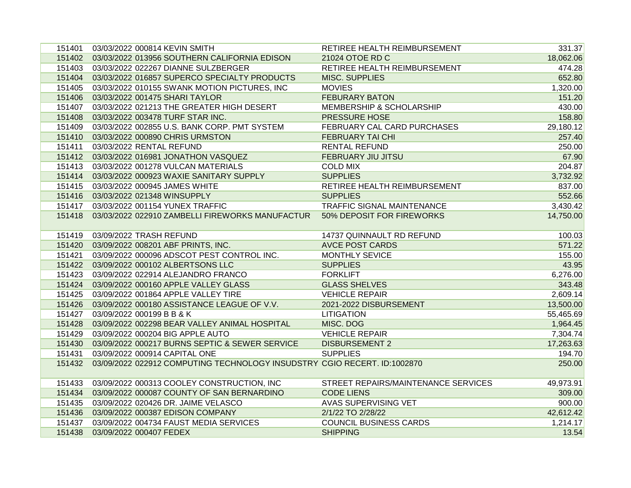| 151401 | 03/03/2022 000814 KEVIN SMITH                                             | RETIREE HEALTH REIMBURSEMENT        | 331.37    |
|--------|---------------------------------------------------------------------------|-------------------------------------|-----------|
| 151402 | 03/03/2022 013956 SOUTHERN CALIFORNIA EDISON                              | 21024 OTOE RD C                     | 18,062.06 |
| 151403 | 03/03/2022 022267 DIANNE SULZBERGER                                       | RETIREE HEALTH REIMBURSEMENT        | 474.28    |
| 151404 | 03/03/2022 016857 SUPERCO SPECIALTY PRODUCTS                              | <b>MISC. SUPPLIES</b>               | 652.80    |
| 151405 | 03/03/2022 010155 SWANK MOTION PICTURES, INC                              | <b>MOVIES</b>                       | 1,320.00  |
| 151406 | 03/03/2022 001475 SHARI TAYLOR                                            | <b>FEBURARY BATON</b>               | 151.20    |
| 151407 | 03/03/2022 021213 THE GREATER HIGH DESERT                                 | MEMBERSHIP & SCHOLARSHIP            | 430.00    |
| 151408 | 03/03/2022 003478 TURF STAR INC.                                          | <b>PRESSURE HOSE</b>                | 158.80    |
| 151409 | 03/03/2022 002855 U.S. BANK CORP. PMT SYSTEM                              | FEBRUARY CAL CARD PURCHASES         | 29,180.12 |
| 151410 | 03/03/2022 000890 CHRIS URMSTON                                           | <b>FEBRUARY TAI CHI</b>             | 257.40    |
| 151411 | 03/03/2022 RENTAL REFUND                                                  | <b>RENTAL REFUND</b>                | 250.00    |
| 151412 | 03/03/2022 016981 JONATHON VASQUEZ                                        | FEBRUARY JIU JITSU                  | 67.90     |
| 151413 | 03/03/2022 001278 VULCAN MATERIALS                                        | <b>COLD MIX</b>                     | 204.87    |
| 151414 | 03/03/2022 000923 WAXIE SANITARY SUPPLY                                   | <b>SUPPLIES</b>                     | 3,732.92  |
| 151415 | 03/03/2022 000945 JAMES WHITE                                             | RETIREE HEALTH REIMBURSEMENT        | 837.00    |
| 151416 | 03/03/2022 021348 WINSUPPLY                                               | <b>SUPPLIES</b>                     | 552.66    |
| 151417 | 03/03/2022 001154 YUNEX TRAFFIC                                           | <b>TRAFFIC SIGNAL MAINTENANCE</b>   | 3,430.42  |
| 151418 | 03/03/2022 022910 ZAMBELLI FIREWORKS MANUFACTUR 50% DEPOSIT FOR FIREWORKS |                                     | 14,750.00 |
|        |                                                                           |                                     |           |
| 151419 | 03/09/2022 TRASH REFUND                                                   | 14737 QUINNAULT RD REFUND           | 100.03    |
| 151420 | 03/09/2022 008201 ABF PRINTS, INC.                                        | <b>AVCE POST CARDS</b>              | 571.22    |
| 151421 | 03/09/2022 000096 ADSCOT PEST CONTROL INC.                                | <b>MONTHLY SEVICE</b>               | 155.00    |
| 151422 | 03/09/2022 000102 ALBERTSONS LLC                                          | <b>SUPPLIES</b>                     | 43.95     |
| 151423 | 03/09/2022 022914 ALEJANDRO FRANCO                                        | <b>FORKLIFT</b>                     | 6,276.00  |
| 151424 | 03/09/2022 000160 APPLE VALLEY GLASS                                      | <b>GLASS SHELVES</b>                | 343.48    |
| 151425 | 03/09/2022 001864 APPLE VALLEY TIRE                                       | <b>VEHICLE REPAIR</b>               | 2,609.14  |
| 151426 | 03/09/2022 000180 ASSISTANCE LEAGUE OF V.V.                               | 2021-2022 DISBURSEMENT              | 13,500.00 |
| 151427 | 03/09/2022 000199 B B & K                                                 | <b>LITIGATION</b>                   | 55,465.69 |
| 151428 | 03/09/2022 002298 BEAR VALLEY ANIMAL HOSPITAL                             | MISC. DOG                           | 1,964.45  |
| 151429 | 03/09/2022 000204 BIG APPLE AUTO                                          | <b>VEHICLE REPAIR</b>               | 7,304.74  |
| 151430 | 03/09/2022 000217 BURNS SEPTIC & SEWER SERVICE                            | <b>DISBURSEMENT 2</b>               | 17,263.63 |
| 151431 | 03/09/2022 000914 CAPITAL ONE                                             | <b>SUPPLIES</b>                     | 194.70    |
| 151432 | 03/09/2022 022912 COMPUTING TECHNOLOGY INSUDSTRY CGIO RECERT. ID:1002870  |                                     | 250.00    |
|        |                                                                           |                                     |           |
| 151433 | 03/09/2022 000313 COOLEY CONSTRUCTION, INC                                | STREET REPAIRS/MAINTENANCE SERVICES | 49,973.91 |
| 151434 | 03/09/2022 000087 COUNTY OF SAN BERNARDINO                                | <b>CODE LIENS</b>                   | 309.00    |
| 151435 | 03/09/2022 020426 DR. JAIME VELASCO                                       | AVAS SUPERVISING VET                | 900.00    |
| 151436 | 03/09/2022 000387 EDISON COMPANY                                          | 2/1/22 TO 2/28/22                   | 42,612.42 |
| 151437 | 03/09/2022 004734 FAUST MEDIA SERVICES                                    | <b>COUNCIL BUSINESS CARDS</b>       | 1,214.17  |
| 151438 | 03/09/2022 000407 FEDEX                                                   | <b>SHIPPING</b>                     | 13.54     |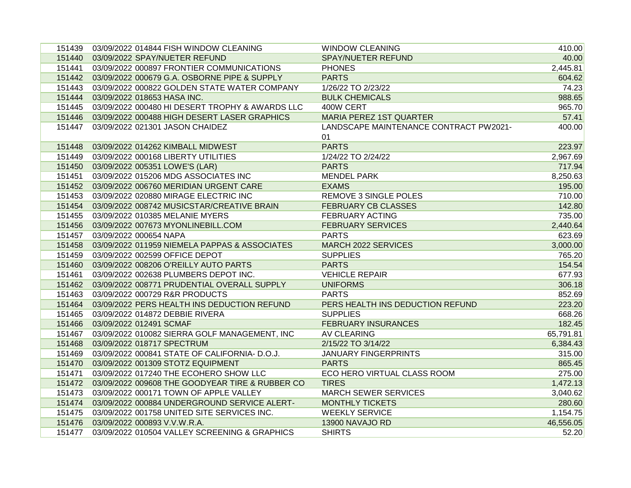| 151439 | 03/09/2022 014844 FISH WINDOW CLEANING          | <b>WINDOW CLEANING</b>                 | 410.00    |
|--------|-------------------------------------------------|----------------------------------------|-----------|
| 151440 | 03/09/2022 SPAY/NUETER REFUND                   | <b>SPAY/NUETER REFUND</b>              | 40.00     |
| 151441 | 03/09/2022 000897 FRONTIER COMMUNICATIONS       | <b>PHONES</b>                          | 2,445.81  |
| 151442 | 03/09/2022 000679 G.A. OSBORNE PIPE & SUPPLY    | <b>PARTS</b>                           | 604.62    |
| 151443 | 03/09/2022 000822 GOLDEN STATE WATER COMPANY    | 1/26/22 TO 2/23/22                     | 74.23     |
| 151444 | 03/09/2022 018653 HASA INC.                     | <b>BULK CHEMICALS</b>                  | 988.65    |
| 151445 | 03/09/2022 000480 HI DESERT TROPHY & AWARDS LLC | 400W CERT                              | 965.70    |
| 151446 | 03/09/2022 000488 HIGH DESERT LASER GRAPHICS    | <b>MARIA PEREZ 1ST QUARTER</b>         | 57.41     |
| 151447 | 03/09/2022 021301 JASON CHAIDEZ                 | LANDSCAPE MAINTENANCE CONTRACT PW2021- | 400.00    |
|        |                                                 | 01                                     |           |
| 151448 | 03/09/2022 014262 KIMBALL MIDWEST               | <b>PARTS</b>                           | 223.97    |
| 151449 | 03/09/2022 000168 LIBERTY UTILITIES             | 1/24/22 TO 2/24/22                     | 2,967.69  |
| 151450 | 03/09/2022 005351 LOWE'S (LAR)                  | <b>PARTS</b>                           | 717.94    |
| 151451 | 03/09/2022 015206 MDG ASSOCIATES INC            | <b>MENDEL PARK</b>                     | 8,250.63  |
| 151452 | 03/09/2022 006760 MERIDIAN URGENT CARE          | <b>EXAMS</b>                           | 195.00    |
| 151453 | 03/09/2022 020880 MIRAGE ELECTRIC INC           | <b>REMOVE 3 SINGLE POLES</b>           | 710.00    |
| 151454 | 03/09/2022 008742 MUSICSTAR/CREATIVE BRAIN      | <b>FEBRUARY CB CLASSES</b>             | 142.80    |
| 151455 | 03/09/2022 010385 MELANIE MYERS                 | <b>FEBRUARY ACTING</b>                 | 735.00    |
| 151456 | 03/09/2022 007673 MYONLINEBILL.COM              | <b>FEBRUARY SERVICES</b>               | 2,440.64  |
| 151457 | 03/09/2022 000654 NAPA                          | <b>PARTS</b>                           | 623.69    |
| 151458 | 03/09/2022 011959 NIEMELA PAPPAS & ASSOCIATES   | MARCH 2022 SERVICES                    | 3,000.00  |
| 151459 | 03/09/2022 002599 OFFICE DEPOT                  | <b>SUPPLIES</b>                        | 765.20    |
| 151460 | 03/09/2022 008206 O'REILLY AUTO PARTS           | <b>PARTS</b>                           | 154.54    |
| 151461 | 03/09/2022 002638 PLUMBERS DEPOT INC.           | <b>VEHICLE REPAIR</b>                  | 677.93    |
| 151462 | 03/09/2022 008771 PRUDENTIAL OVERALL SUPPLY     | <b>UNIFORMS</b>                        | 306.18    |
| 151463 | 03/09/2022 000729 R&R PRODUCTS                  | <b>PARTS</b>                           | 852.69    |
| 151464 | 03/09/2022 PERS HEALTH INS DEDUCTION REFUND     | PERS HEALTH INS DEDUCTION REFUND       | 223.20    |
| 151465 | 03/09/2022 014872 DEBBIE RIVERA                 | <b>SUPPLIES</b>                        | 668.26    |
| 151466 | 03/09/2022 012491 SCMAF                         | <b>FEBRUARY INSURANCES</b>             | 182.45    |
| 151467 | 03/09/2022 010082 SIERRA GOLF MANAGEMENT, INC   | <b>AV CLEARING</b>                     | 65,791.81 |
| 151468 | 03/09/2022 018717 SPECTRUM                      | 2/15/22 TO 3/14/22                     | 6,384.43  |
| 151469 | 03/09/2022 000841 STATE OF CALIFORNIA- D.O.J.   | <b>JANUARY FINGERPRINTS</b>            | 315.00    |
| 151470 | 03/09/2022 001309 STOTZ EQUIPMENT               | <b>PARTS</b>                           | 865.45    |
| 151471 | 03/09/2022 017240 THE ECOHERO SHOW LLC          | ECO HERO VIRTUAL CLASS ROOM            | 275.00    |
| 151472 | 03/09/2022 009608 THE GOODYEAR TIRE & RUBBER CO | <b>TIRES</b>                           | 1,472.13  |
| 151473 | 03/09/2022 000171 TOWN OF APPLE VALLEY          | <b>MARCH SEWER SERVICES</b>            | 3,040.62  |
| 151474 | 03/09/2022 000884 UNDERGROUND SERVICE ALERT-    | <b>MONTHLY TICKETS</b>                 | 280.60    |
| 151475 | 03/09/2022 001758 UNITED SITE SERVICES INC.     | <b>WEEKLY SERVICE</b>                  | 1,154.75  |
| 151476 | 03/09/2022 000893 V.V.W.R.A.                    | 13900 NAVAJO RD                        | 46,556.05 |
| 151477 | 03/09/2022 010504 VALLEY SCREENING & GRAPHICS   | <b>SHIRTS</b>                          | 52.20     |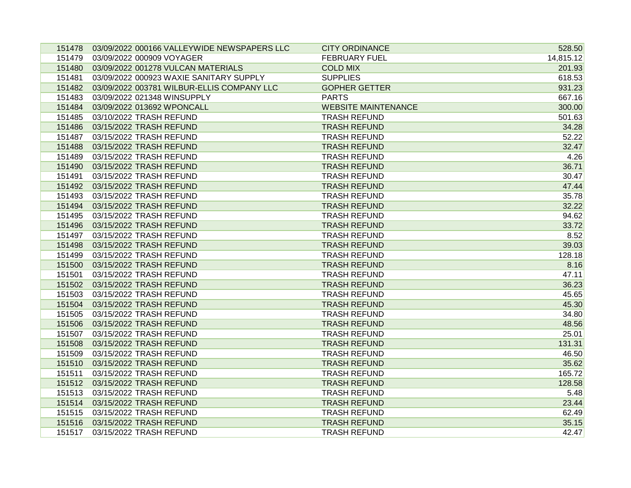| 151478 | 03/09/2022 000166 VALLEYWIDE NEWSPAPERS LLC | <b>CITY ORDINANCE</b>      | 528.50    |
|--------|---------------------------------------------|----------------------------|-----------|
| 151479 | 03/09/2022 000909 VOYAGER                   | <b>FEBRUARY FUEL</b>       | 14,815.12 |
| 151480 | 03/09/2022 001278 VULCAN MATERIALS          | <b>COLD MIX</b>            | 201.93    |
| 151481 | 03/09/2022 000923 WAXIE SANITARY SUPPLY     | <b>SUPPLIES</b>            | 618.53    |
| 151482 | 03/09/2022 003781 WILBUR-ELLIS COMPANY LLC  | <b>GOPHER GETTER</b>       | 931.23    |
| 151483 | 03/09/2022 021348 WINSUPPLY                 | <b>PARTS</b>               | 667.16    |
| 151484 | 03/09/2022 013692 WPONCALL                  | <b>WEBSITE MAINTENANCE</b> | 300.00    |
| 151485 | 03/10/2022 TRASH REFUND                     | <b>TRASH REFUND</b>        | 501.63    |
| 151486 | 03/15/2022 TRASH REFUND                     | <b>TRASH REFUND</b>        | 34.28     |
| 151487 | 03/15/2022 TRASH REFUND                     | <b>TRASH REFUND</b>        | 52.22     |
| 151488 | 03/15/2022 TRASH REFUND                     | <b>TRASH REFUND</b>        | 32.47     |
| 151489 | 03/15/2022 TRASH REFUND                     | <b>TRASH REFUND</b>        | 4.26      |
| 151490 | 03/15/2022 TRASH REFUND                     | <b>TRASH REFUND</b>        | 36.71     |
| 151491 | 03/15/2022 TRASH REFUND                     | <b>TRASH REFUND</b>        | 30.47     |
| 151492 | 03/15/2022 TRASH REFUND                     | <b>TRASH REFUND</b>        | 47.44     |
| 151493 | 03/15/2022 TRASH REFUND                     | <b>TRASH REFUND</b>        | 35.78     |
| 151494 | 03/15/2022 TRASH REFUND                     | <b>TRASH REFUND</b>        | 32.22     |
| 151495 | 03/15/2022 TRASH REFUND                     | <b>TRASH REFUND</b>        | 94.62     |
| 151496 | 03/15/2022 TRASH REFUND                     | <b>TRASH REFUND</b>        | 33.72     |
| 151497 | 03/15/2022 TRASH REFUND                     | <b>TRASH REFUND</b>        | 8.52      |
| 151498 | 03/15/2022 TRASH REFUND                     | <b>TRASH REFUND</b>        | 39.03     |
| 151499 | 03/15/2022 TRASH REFUND                     | <b>TRASH REFUND</b>        | 128.18    |
| 151500 | 03/15/2022 TRASH REFUND                     | <b>TRASH REFUND</b>        | 8.16      |
| 151501 | 03/15/2022 TRASH REFUND                     | <b>TRASH REFUND</b>        | 47.11     |
| 151502 | 03/15/2022 TRASH REFUND                     | <b>TRASH REFUND</b>        | 36.23     |
| 151503 | 03/15/2022 TRASH REFUND                     | <b>TRASH REFUND</b>        | 45.65     |
| 151504 | 03/15/2022 TRASH REFUND                     | <b>TRASH REFUND</b>        | 45.30     |
| 151505 | 03/15/2022 TRASH REFUND                     | <b>TRASH REFUND</b>        | 34.80     |
| 151506 | 03/15/2022 TRASH REFUND                     | <b>TRASH REFUND</b>        | 48.56     |
| 151507 | 03/15/2022 TRASH REFUND                     | <b>TRASH REFUND</b>        | 25.01     |
| 151508 | 03/15/2022 TRASH REFUND                     | <b>TRASH REFUND</b>        | 131.31    |
| 151509 | 03/15/2022 TRASH REFUND                     | <b>TRASH REFUND</b>        | 46.50     |
| 151510 | 03/15/2022 TRASH REFUND                     | <b>TRASH REFUND</b>        | 35.62     |
| 151511 | 03/15/2022 TRASH REFUND                     | <b>TRASH REFUND</b>        | 165.72    |
| 151512 | 03/15/2022 TRASH REFUND                     | <b>TRASH REFUND</b>        | 128.58    |
| 151513 | 03/15/2022 TRASH REFUND                     | <b>TRASH REFUND</b>        | 5.48      |
| 151514 | 03/15/2022 TRASH REFUND                     | <b>TRASH REFUND</b>        | 23.44     |
| 151515 | 03/15/2022 TRASH REFUND                     | <b>TRASH REFUND</b>        | 62.49     |
| 151516 | 03/15/2022 TRASH REFUND                     | <b>TRASH REFUND</b>        | 35.15     |
| 151517 | 03/15/2022 TRASH REFUND                     | <b>TRASH REFUND</b>        | 42.47     |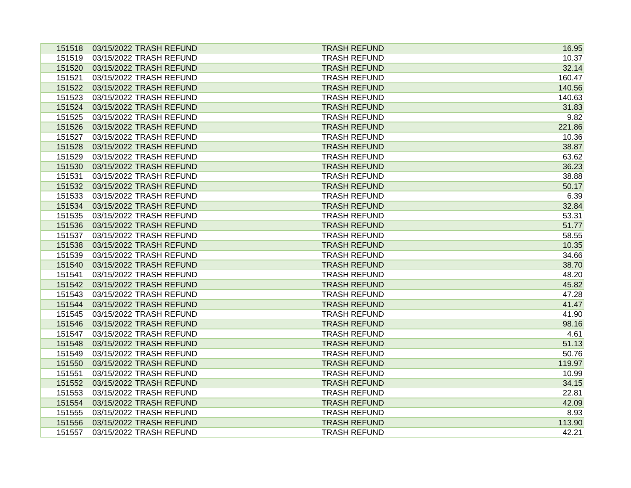| 151518 | 03/15/2022 TRASH REFUND | <b>TRASH REFUND</b> | 16.95  |
|--------|-------------------------|---------------------|--------|
| 151519 | 03/15/2022 TRASH REFUND | <b>TRASH REFUND</b> | 10.37  |
| 151520 | 03/15/2022 TRASH REFUND | <b>TRASH REFUND</b> | 32.14  |
| 151521 | 03/15/2022 TRASH REFUND | <b>TRASH REFUND</b> | 160.47 |
| 151522 | 03/15/2022 TRASH REFUND | <b>TRASH REFUND</b> | 140.56 |
| 151523 | 03/15/2022 TRASH REFUND | <b>TRASH REFUND</b> | 140.63 |
| 151524 | 03/15/2022 TRASH REFUND | <b>TRASH REFUND</b> | 31.83  |
| 151525 | 03/15/2022 TRASH REFUND | <b>TRASH REFUND</b> | 9.82   |
| 151526 | 03/15/2022 TRASH REFUND | <b>TRASH REFUND</b> | 221.86 |
| 151527 | 03/15/2022 TRASH REFUND | <b>TRASH REFUND</b> | 10.36  |
| 151528 | 03/15/2022 TRASH REFUND | <b>TRASH REFUND</b> | 38.87  |
| 151529 | 03/15/2022 TRASH REFUND | <b>TRASH REFUND</b> | 63.62  |
| 151530 | 03/15/2022 TRASH REFUND | <b>TRASH REFUND</b> | 36.23  |
| 151531 | 03/15/2022 TRASH REFUND | <b>TRASH REFUND</b> | 38.88  |
| 151532 | 03/15/2022 TRASH REFUND | <b>TRASH REFUND</b> | 50.17  |
| 151533 | 03/15/2022 TRASH REFUND | <b>TRASH REFUND</b> | 6.39   |
| 151534 | 03/15/2022 TRASH REFUND | <b>TRASH REFUND</b> | 32.84  |
| 151535 | 03/15/2022 TRASH REFUND | <b>TRASH REFUND</b> | 53.31  |
| 151536 | 03/15/2022 TRASH REFUND | <b>TRASH REFUND</b> | 51.77  |
| 151537 | 03/15/2022 TRASH REFUND | <b>TRASH REFUND</b> | 58.55  |
| 151538 | 03/15/2022 TRASH REFUND | <b>TRASH REFUND</b> | 10.35  |
| 151539 | 03/15/2022 TRASH REFUND | <b>TRASH REFUND</b> | 34.66  |
| 151540 | 03/15/2022 TRASH REFUND | <b>TRASH REFUND</b> | 38.70  |
| 151541 | 03/15/2022 TRASH REFUND | <b>TRASH REFUND</b> | 48.20  |
| 151542 | 03/15/2022 TRASH REFUND | <b>TRASH REFUND</b> | 45.82  |
| 151543 | 03/15/2022 TRASH REFUND | <b>TRASH REFUND</b> | 47.28  |
| 151544 | 03/15/2022 TRASH REFUND | <b>TRASH REFUND</b> | 41.47  |
| 151545 | 03/15/2022 TRASH REFUND | <b>TRASH REFUND</b> | 41.90  |
| 151546 | 03/15/2022 TRASH REFUND | <b>TRASH REFUND</b> | 98.16  |
| 151547 | 03/15/2022 TRASH REFUND | <b>TRASH REFUND</b> | 4.61   |
| 151548 | 03/15/2022 TRASH REFUND | <b>TRASH REFUND</b> | 51.13  |
| 151549 | 03/15/2022 TRASH REFUND | <b>TRASH REFUND</b> | 50.76  |
| 151550 | 03/15/2022 TRASH REFUND | <b>TRASH REFUND</b> | 119.97 |
| 151551 | 03/15/2022 TRASH REFUND | <b>TRASH REFUND</b> | 10.99  |
| 151552 | 03/15/2022 TRASH REFUND | <b>TRASH REFUND</b> | 34.15  |
| 151553 | 03/15/2022 TRASH REFUND | <b>TRASH REFUND</b> | 22.81  |
| 151554 | 03/15/2022 TRASH REFUND | <b>TRASH REFUND</b> | 42.09  |
| 151555 | 03/15/2022 TRASH REFUND | <b>TRASH REFUND</b> | 8.93   |
| 151556 | 03/15/2022 TRASH REFUND | <b>TRASH REFUND</b> | 113.90 |
| 151557 | 03/15/2022 TRASH REFUND | <b>TRASH REFUND</b> | 42.21  |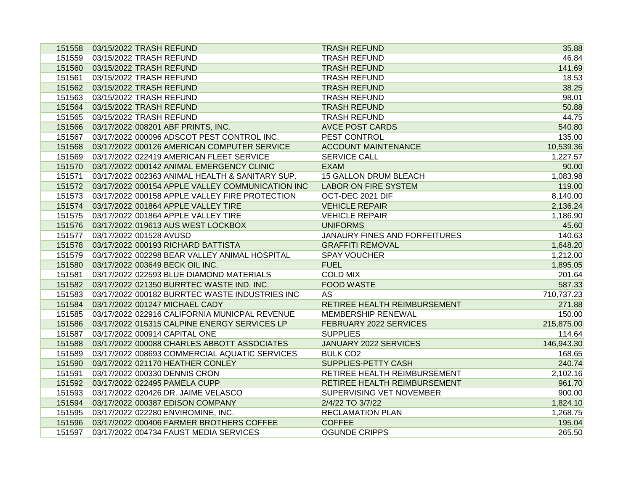|        | 151558 03/15/2022 TRASH REFUND                   | <b>TRASH REFUND</b>           | 35.88      |
|--------|--------------------------------------------------|-------------------------------|------------|
|        | 151559 03/15/2022 TRASH REFUND                   | <b>TRASH REFUND</b>           | 46.84      |
| 151560 | 03/15/2022 TRASH REFUND                          | <b>TRASH REFUND</b>           | 141.69     |
| 151561 | 03/15/2022 TRASH REFUND                          | <b>TRASH REFUND</b>           | 18.53      |
| 151562 | 03/15/2022 TRASH REFUND                          | <b>TRASH REFUND</b>           | 38.25      |
| 151563 | 03/15/2022 TRASH REFUND                          | <b>TRASH REFUND</b>           | 98.01      |
| 151564 | 03/15/2022 TRASH REFUND                          | <b>TRASH REFUND</b>           | 50.88      |
| 151565 | 03/15/2022 TRASH REFUND                          | <b>TRASH REFUND</b>           | 44.75      |
| 151566 | 03/17/2022 008201 ABF PRINTS, INC.               | <b>AVCE POST CARDS</b>        | 540.80     |
| 151567 | 03/17/2022 000096 ADSCOT PEST CONTROL INC.       | PEST CONTROL                  | 135.00     |
| 151568 | 03/17/2022 000126 AMERICAN COMPUTER SERVICE      | <b>ACCOUNT MAINTENANCE</b>    | 10,539.36  |
| 151569 | 03/17/2022 022419 AMERICAN FLEET SERVICE         | <b>SERVICE CALL</b>           | 1,227.57   |
| 151570 | 03/17/2022 000142 ANIMAL EMERGENCY CLINIC        | <b>EXAM</b>                   | 90.00      |
| 151571 | 03/17/2022 002363 ANIMAL HEALTH & SANITARY SUP.  | 15 GALLON DRUM BLEACH         | 1,083.98   |
| 151572 | 03/17/2022 000154 APPLE VALLEY COMMUNICATION INC | <b>LABOR ON FIRE SYSTEM</b>   | 119.00     |
| 151573 | 03/17/2022 000158 APPLE VALLEY FIRE PROTECTION   | OCT-DEC 2021 DIF              | 8,140.00   |
|        | 151574 03/17/2022 001864 APPLE VALLEY TIRE       | <b>VEHICLE REPAIR</b>         | 2,136.24   |
| 151575 | 03/17/2022 001864 APPLE VALLEY TIRE              | <b>VEHICLE REPAIR</b>         | 1,186.90   |
| 151576 | 03/17/2022 019613 AUS WEST LOCKBOX               | <b>UNIFORMS</b>               | 45.60      |
| 151577 | 03/17/2022 001528 AVUSD                          | JANAURY FINES AND FORFEITURES | 140.63     |
| 151578 | 03/17/2022 000193 RICHARD BATTISTA               | <b>GRAFFITI REMOVAL</b>       | 1,648.20   |
| 151579 | 03/17/2022 002298 BEAR VALLEY ANIMAL HOSPITAL    | SPAY VOUCHER                  | 1,212.00   |
| 151580 | 03/17/2022 003649 BECK OIL INC.                  | <b>FUEL</b>                   | 1,895.05   |
| 151581 | 03/17/2022 022593 BLUE DIAMOND MATERIALS         | <b>COLD MIX</b>               | 201.64     |
|        | 151582 03/17/2022 021350 BURRTEC WASTE IND, INC. | <b>FOOD WASTE</b>             | 587.33     |
| 151583 | 03/17/2022 000182 BURRTEC WASTE INDUSTRIES INC   | AS                            | 710,737.23 |
| 151584 | 03/17/2022 001247 MICHAEL CADY                   | RETIREE HEALTH REIMBURSEMENT  | 271.88     |
| 151585 | 03/17/2022 022916 CALIFORNIA MUNICPAL REVENUE    | MEMBERSHIP RENEWAL            | 150.00     |
| 151586 | 03/17/2022 015315 CALPINE ENERGY SERVICES LP     | FEBRUARY 2022 SERVICES        | 215,875.00 |
| 151587 | 03/17/2022 000914 CAPITAL ONE                    | <b>SUPPLIES</b>               | 114.64     |
| 151588 | 03/17/2022 000088 CHARLES ABBOTT ASSOCIATES      | JANUARY 2022 SERVICES         | 146,943.30 |
| 151589 | 03/17/2022 008693 COMMERCIAL AQUATIC SERVICES    | <b>BULK CO2</b>               | 168.65     |
| 151590 | 03/17/2022 021170 HEATHER CONLEY                 | SUPPLIES-PETTY CASH           | 240.74     |
| 151591 | 03/17/2022 000330 DENNIS CRON                    | RETIREE HEALTH REIMBURSEMENT  | 2,102.16   |
| 151592 | 03/17/2022 022495 PAMELA CUPP                    | RETIREE HEALTH REIMBURSEMENT  | 961.70     |
| 151593 | 03/17/2022 020426 DR. JAIME VELASCO              | SUPERVISING VET NOVEMBER      | 900.00     |
| 151594 | 03/17/2022 000387 EDISON COMPANY                 | 2/4/22 TO 3/7/22              | 1,824.10   |
| 151595 | 03/17/2022 022280 ENVIROMINE, INC.               | <b>RECLAMATION PLAN</b>       | 1,268.75   |
| 151596 | 03/17/2022 000406 FARMER BROTHERS COFFEE         | <b>COFFEE</b>                 | 195.04     |
| 151597 | 03/17/2022 004734 FAUST MEDIA SERVICES           | <b>OGUNDE CRIPPS</b>          | 265.50     |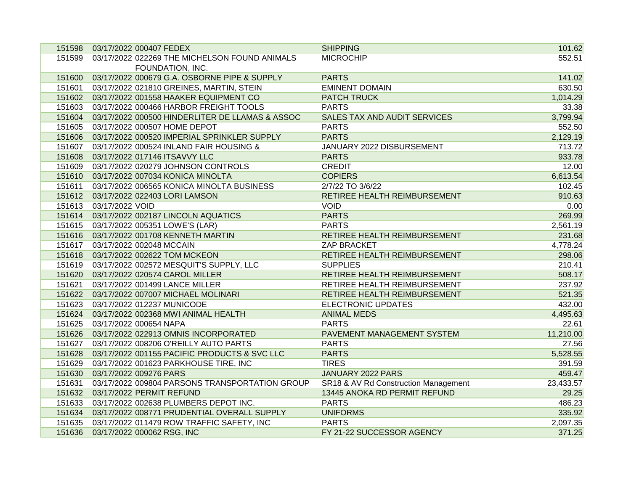|        | 151598 03/17/2022 000407 FEDEX                  | <b>SHIPPING</b>                      | 101.62    |
|--------|-------------------------------------------------|--------------------------------------|-----------|
| 151599 | 03/17/2022 022269 THE MICHELSON FOUND ANIMALS   | <b>MICROCHIP</b>                     | 552.51    |
|        | FOUNDATION, INC.                                |                                      |           |
| 151600 | 03/17/2022 000679 G.A. OSBORNE PIPE & SUPPLY    | <b>PARTS</b>                         | 141.02    |
| 151601 | 03/17/2022 021810 GREINES, MARTIN, STEIN        | <b>EMINENT DOMAIN</b>                | 630.50    |
| 151602 | 03/17/2022 001558 HAAKER EQUIPMENT CO           | <b>PATCH TRUCK</b>                   | 1,014.29  |
| 151603 | 03/17/2022 000466 HARBOR FREIGHT TOOLS          | <b>PARTS</b>                         | 33.38     |
| 151604 | 03/17/2022 000500 HINDERLITER DE LLAMAS & ASSOC | SALES TAX AND AUDIT SERVICES         | 3,799.94  |
| 151605 | 03/17/2022 000507 HOME DEPOT                    | <b>PARTS</b>                         | 552.50    |
| 151606 | 03/17/2022 000520 IMPERIAL SPRINKLER SUPPLY     | <b>PARTS</b>                         | 2,129.19  |
| 151607 | 03/17/2022 000524 INLAND FAIR HOUSING &         | JANUARY 2022 DISBURSEMENT            | 713.72    |
| 151608 | 03/17/2022 017146 ITSAVVY LLC                   | <b>PARTS</b>                         | 933.78    |
| 151609 | 03/17/2022 020279 JOHNSON CONTROLS              | <b>CREDIT</b>                        | 12.00     |
| 151610 | 03/17/2022 007034 KONICA MINOLTA                | <b>COPIERS</b>                       | 6,613.54  |
| 151611 | 03/17/2022 006565 KONICA MINOLTA BUSINESS       | 2/7/22 TO 3/6/22                     | 102.45    |
| 151612 | 03/17/2022 022403 LORI LAMSON                   | RETIREE HEALTH REIMBURSEMENT         | 910.63    |
| 151613 | 03/17/2022 VOID                                 | VOID                                 | 0.00      |
| 151614 | 03/17/2022 002187 LINCOLN AQUATICS              | <b>PARTS</b>                         | 269.99    |
| 151615 | 03/17/2022 005351 LOWE'S (LAR)                  | <b>PARTS</b>                         | 2,561.19  |
| 151616 | 03/17/2022 001708 KENNETH MARTIN                | RETIREE HEALTH REIMBURSEMENT         | 231.68    |
| 151617 | 03/17/2022 002048 MCCAIN                        | ZAP BRACKET                          | 4,778.24  |
| 151618 | 03/17/2022 002622 TOM MCKEON                    | RETIREE HEALTH REIMBURSEMENT         | 298.06    |
| 151619 | 03/17/2022 002572 MESQUIT'S SUPPLY, LLC         | <b>SUPPLIES</b>                      | 210.41    |
| 151620 | 03/17/2022 020574 CAROL MILLER                  | RETIREE HEALTH REIMBURSEMENT         | 508.17    |
| 151621 | 03/17/2022 001499 LANCE MILLER                  | RETIREE HEALTH REIMBURSEMENT         | 237.92    |
| 151622 | 03/17/2022 007007 MICHAEL MOLINARI              | RETIREE HEALTH REIMBURSEMENT         | 521.35    |
| 151623 | 03/17/2022 012237 MUNICODE                      | <b>ELECTRONIC UPDATES</b>            | 432.00    |
| 151624 | 03/17/2022 002368 MWI ANIMAL HEALTH             | <b>ANIMAL MEDS</b>                   | 4,495.63  |
| 151625 | 03/17/2022 000654 NAPA                          | <b>PARTS</b>                         | 22.61     |
| 151626 | 03/17/2022 022913 OMNIS INCORPORATED            | PAVEMENT MANAGEMENT SYSTEM           | 11,210.00 |
| 151627 | 03/17/2022 008206 O'REILLY AUTO PARTS           | <b>PARTS</b>                         | 27.56     |
| 151628 | 03/17/2022 001155 PACIFIC PRODUCTS & SVC LLC    | <b>PARTS</b>                         | 5,528.55  |
| 151629 | 03/17/2022 001623 PARKHOUSE TIRE, INC           | <b>TIRES</b>                         | 391.59    |
| 151630 | 03/17/2022 009276 PARS                          | JANUARY 2022 PARS                    | 459.47    |
| 151631 | 03/17/2022 009804 PARSONS TRANSPORTATION GROUP  | SR18 & AV Rd Construction Management | 23,433.57 |
| 151632 | 03/17/2022 PERMIT REFUND                        | 13445 ANOKA RD PERMIT REFUND         | 29.25     |
| 151633 | 03/17/2022 002638 PLUMBERS DEPOT INC.           | <b>PARTS</b>                         | 486.23    |
| 151634 | 03/17/2022 008771 PRUDENTIAL OVERALL SUPPLY     | <b>UNIFORMS</b>                      | 335.92    |
| 151635 | 03/17/2022 011479 ROW TRAFFIC SAFETY, INC       | <b>PARTS</b>                         | 2,097.35  |
| 151636 | 03/17/2022 000062 RSG, INC                      | FY 21-22 SUCCESSOR AGENCY            | 371.25    |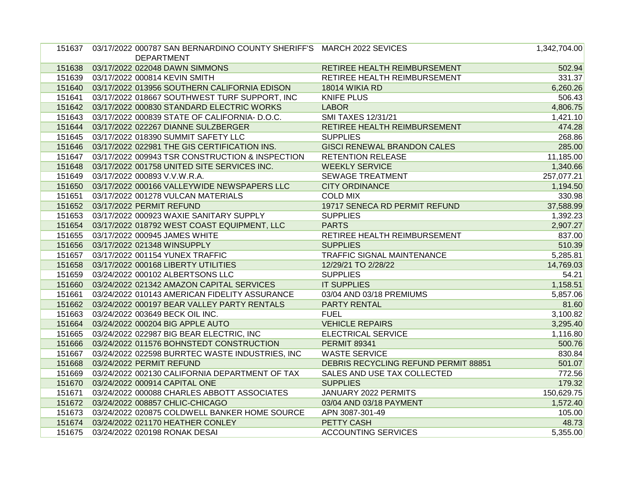| 151637 | 03/17/2022 000787 SAN BERNARDINO COUNTY SHERIFF'S MARCH 2022 SEVICES |                                      | 1,342,704.00 |
|--------|----------------------------------------------------------------------|--------------------------------------|--------------|
|        | <b>DEPARTMENT</b>                                                    |                                      |              |
| 151638 | 03/17/2022 022048 DAWN SIMMONS                                       | RETIREE HEALTH REIMBURSEMENT         | 502.94       |
| 151639 | 03/17/2022 000814 KEVIN SMITH                                        | RETIREE HEALTH REIMBURSEMENT         | 331.37       |
| 151640 | 03/17/2022 013956 SOUTHERN CALIFORNIA EDISON                         | <b>18014 WIKIA RD</b>                | 6,260.26     |
| 151641 | 03/17/2022 018667 SOUTHWEST TURF SUPPORT, INC                        | <b>KNIFE PLUS</b>                    | 506.43       |
| 151642 | 03/17/2022 000830 STANDARD ELECTRIC WORKS                            | <b>LABOR</b>                         | 4,806.75     |
| 151643 | 03/17/2022 000839 STATE OF CALIFORNIA- D.O.C.                        | <b>SMI TAXES 12/31/21</b>            | 1,421.10     |
| 151644 | 03/17/2022 022267 DIANNE SULZBERGER                                  | RETIREE HEALTH REIMBURSEMENT         | 474.28       |
| 151645 | 03/17/2022 018390 SUMMIT SAFETY LLC                                  | <b>SUPPLIES</b>                      | 268.86       |
| 151646 | 03/17/2022 022981 THE GIS CERTIFICATION INS.                         | <b>GISCI RENEWAL BRANDON CALES</b>   | 285.00       |
| 151647 | 03/17/2022 009943 TSR CONSTRUCTION & INSPECTION                      | <b>RETENTION RELEASE</b>             | 11,185.00    |
| 151648 | 03/17/2022 001758 UNITED SITE SERVICES INC.                          | <b>WEEKLY SERVICE</b>                | 1,340.66     |
| 151649 | 03/17/2022 000893 V.V.W.R.A.                                         | <b>SEWAGE TREATMENT</b>              | 257,077.21   |
| 151650 | 03/17/2022 000166 VALLEYWIDE NEWSPAPERS LLC                          | <b>CITY ORDINANCE</b>                | 1,194.50     |
| 151651 | 03/17/2022 001278 VULCAN MATERIALS                                   | <b>COLD MIX</b>                      | 330.98       |
| 151652 | 03/17/2022 PERMIT REFUND                                             | 19717 SENECA RD PERMIT REFUND        | 37,588.99    |
| 151653 | 03/17/2022 000923 WAXIE SANITARY SUPPLY                              | <b>SUPPLIES</b>                      | 1,392.23     |
| 151654 | 03/17/2022 018792 WEST COAST EQUIPMENT, LLC                          | <b>PARTS</b>                         | 2,907.27     |
| 151655 | 03/17/2022 000945 JAMES WHITE                                        | RETIREE HEALTH REIMBURSEMENT         | 837.00       |
| 151656 | 03/17/2022 021348 WINSUPPLY                                          | <b>SUPPLIES</b>                      | 510.39       |
| 151657 | 03/17/2022 001154 YUNEX TRAFFIC                                      | <b>TRAFFIC SIGNAL MAINTENANCE</b>    | 5,285.81     |
| 151658 | 03/17/2022 000168 LIBERTY UTILITIES                                  | 12/29/21 TO 2/28/22                  | 14,769.03    |
| 151659 | 03/24/2022 000102 ALBERTSONS LLC                                     | <b>SUPPLIES</b>                      | 54.21        |
| 151660 | 03/24/2022 021342 AMAZON CAPITAL SERVICES                            | <b>IT SUPPLIES</b>                   | 1,158.51     |
| 151661 | 03/24/2022 010143 AMERICAN FIDELITY ASSURANCE                        | 03/04 AND 03/18 PREMIUMS             | 5,857.06     |
| 151662 | 03/24/2022 000197 BEAR VALLEY PARTY RENTALS                          | <b>PARTY RENTAL</b>                  | 81.60        |
| 151663 | 03/24/2022 003649 BECK OIL INC.                                      | <b>FUEL</b>                          | 3,100.82     |
| 151664 | 03/24/2022 000204 BIG APPLE AUTO                                     | <b>VEHICLE REPAIRS</b>               | 3,295.40     |
| 151665 | 03/24/2022 022987 BIG BEAR ELECTRIC, INC                             | <b>ELECTRICAL SERVICE</b>            | 1,116.80     |
| 151666 | 03/24/2022 011576 BOHNSTEDT CONSTRUCTION                             | <b>PERMIT 89341</b>                  | 500.76       |
| 151667 | 03/24/2022 022598 BURRTEC WASTE INDUSTRIES, INC                      | <b>WASTE SERVICE</b>                 | 830.84       |
| 151668 | 03/24/2022 PERMIT REFUND                                             | DEBRIS RECYCLING REFUND PERMIT 88851 | 501.07       |
| 151669 | 03/24/2022 002130 CALIFORNIA DEPARTMENT OF TAX                       | SALES AND USE TAX COLLECTED          | 772.56       |
| 151670 | 03/24/2022 000914 CAPITAL ONE                                        | <b>SUPPLIES</b>                      | 179.32       |
| 151671 | 03/24/2022 000088 CHARLES ABBOTT ASSOCIATES                          | JANUARY 2022 PERMITS                 | 150,629.75   |
| 151672 | 03/24/2022 008857 CHLIC-CHICAGO                                      | 03/04 AND 03/18 PAYMENT              | 1,572.40     |
| 151673 | 03/24/2022 020875 COLDWELL BANKER HOME SOURCE                        | APN 3087-301-49                      | 105.00       |
| 151674 | 03/24/2022 021170 HEATHER CONLEY                                     | PETTY CASH                           | 48.73        |
| 151675 | 03/24/2022 020198 RONAK DESAI                                        | <b>ACCOUNTING SERVICES</b>           | 5,355.00     |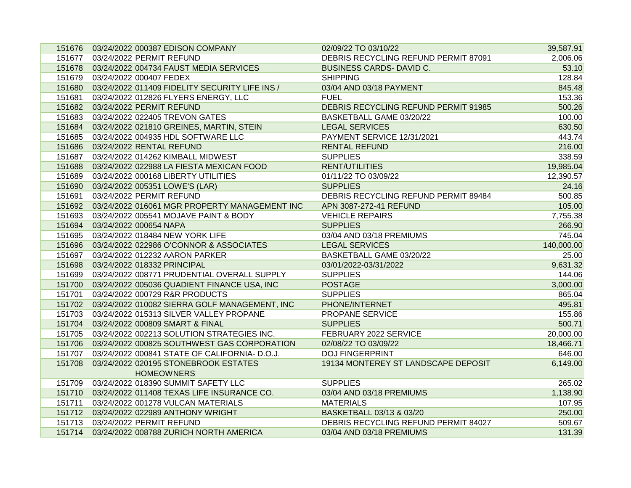|        | 151676 03/24/2022 000387 EDISON COMPANY        | 02/09/22 TO 03/10/22                 | 39,587.91              |
|--------|------------------------------------------------|--------------------------------------|------------------------|
| 151677 | 03/24/2022 PERMIT REFUND                       | DEBRIS RECYCLING REFUND PERMIT 87091 | 2,006.06               |
| 151678 | 03/24/2022 004734 FAUST MEDIA SERVICES         | <b>BUSINESS CARDS-DAVID C.</b>       | 53.10                  |
| 151679 | 03/24/2022 000407 FEDEX                        | <b>SHIPPING</b>                      | 128.84                 |
| 151680 | 03/24/2022 011409 FIDELITY SECURITY LIFE INS / | 03/04 AND 03/18 PAYMENT              | 845.48                 |
| 151681 | 03/24/2022 012826 FLYERS ENERGY, LLC           | <b>FUEL</b>                          | 153.36                 |
| 151682 | 03/24/2022 PERMIT REFUND                       | DEBRIS RECYCLING REFUND PERMIT 91985 | 500.26                 |
| 151683 | 03/24/2022 022405 TREVON GATES                 | BASKETBALL GAME 03/20/22             | 100.00                 |
| 151684 | 03/24/2022 021810 GREINES, MARTIN, STEIN       | <b>LEGAL SERVICES</b>                | 630.50                 |
| 151685 | 03/24/2022 004935 HDL SOFTWARE LLC             | PAYMENT SERVICE 12/31/2021           | 443.74                 |
| 151686 | 03/24/2022 RENTAL REFUND                       | <b>RENTAL REFUND</b>                 | 216.00                 |
| 151687 | 03/24/2022 014262 KIMBALL MIDWEST              | <b>SUPPLIES</b>                      | 338.59                 |
| 151688 | 03/24/2022 022988 LA FIESTA MEXICAN FOOD       | <b>RENT/UTILITIES</b>                | 19,985.04              |
| 151689 | 03/24/2022 000168 LIBERTY UTILITIES            | 01/11/22 TO 03/09/22                 | 12,390.57              |
| 151690 | 03/24/2022 005351 LOWE'S (LAR)                 | <b>SUPPLIES</b>                      | 24.16                  |
| 151691 | 03/24/2022 PERMIT REFUND                       | DEBRIS RECYCLING REFUND PERMIT 89484 | 500.85                 |
| 151692 | 03/24/2022 016061 MGR PROPERTY MANAGEMENT INC  | APN 3087-272-41 REFUND               | 105.00                 |
| 151693 | 03/24/2022 005541 MOJAVE PAINT & BODY          | <b>VEHICLE REPAIRS</b>               | 7,755.38               |
| 151694 | 03/24/2022 000654 NAPA                         | <b>SUPPLIES</b>                      | 266.90                 |
| 151695 | 03/24/2022 018484 NEW YORK LIFE                | 03/04 AND 03/18 PREMIUMS             | 745.04                 |
| 151696 | 03/24/2022 022986 O'CONNOR & ASSOCIATES        | <b>LEGAL SERVICES</b>                | 140,000.00             |
| 151697 | 03/24/2022 012232 AARON PARKER                 | BASKETBALL GAME 03/20/22             | 25.00                  |
| 151698 | 03/24/2022 018332 PRINCIPAL                    | 03/01/2022-03/31/2022                | 9,631.32               |
| 151699 | 03/24/2022 008771 PRUDENTIAL OVERALL SUPPLY    | <b>SUPPLIES</b>                      | 144.06                 |
| 151700 | 03/24/2022 005036 QUADIENT FINANCE USA, INC    | <b>POSTAGE</b>                       | 3,000.00               |
| 151701 | 03/24/2022 000729 R&R PRODUCTS                 | <b>SUPPLIES</b>                      | 865.04                 |
| 151702 | 03/24/2022 010082 SIERRA GOLF MANAGEMENT, INC  | PHONE/INTERNET                       | 495.81                 |
| 151703 | 03/24/2022 015313 SILVER VALLEY PROPANE        | PROPANE SERVICE                      | 155.86                 |
| 151704 | 03/24/2022 000809 SMART & FINAL                | <b>SUPPLIES</b>                      | 500.71                 |
| 151705 | 03/24/2022 002213 SOLUTION STRATEGIES INC.     | FEBRUARY 2022 SERVICE                | $\overline{20,000.00}$ |
| 151706 | 03/24/2022 000825 SOUTHWEST GAS CORPORATION    | 02/08/22 TO 03/09/22                 | 18,466.71              |
| 151707 | 03/24/2022 000841 STATE OF CALIFORNIA- D.O.J.  | <b>DOJ FINGERPRINT</b>               | 646.00                 |
| 151708 | 03/24/2022 020195 STONEBROOK ESTATES           | 19134 MONTEREY ST LANDSCAPE DEPOSIT  | 6,149.00               |
|        | <b>HOMEOWNERS</b>                              |                                      |                        |
| 151709 | 03/24/2022 018390 SUMMIT SAFETY LLC            | <b>SUPPLIES</b>                      | 265.02                 |
| 151710 | 03/24/2022 011408 TEXAS LIFE INSURANCE CO.     | 03/04 AND 03/18 PREMIUMS             | 1,138.90               |
| 151711 | 03/24/2022 001278 VULCAN MATERIALS             | <b>MATERIALS</b>                     | 107.95                 |
| 151712 | 03/24/2022 022989 ANTHONY WRIGHT               | BASKETBALL 03/13 & 03/20             | 250.00                 |
| 151713 | 03/24/2022 PERMIT REFUND                       | DEBRIS RECYCLING REFUND PERMIT 84027 | 509.67                 |
| 151714 | 03/24/2022 008788 ZURICH NORTH AMERICA         | 03/04 AND 03/18 PREMIUMS             | 131.39                 |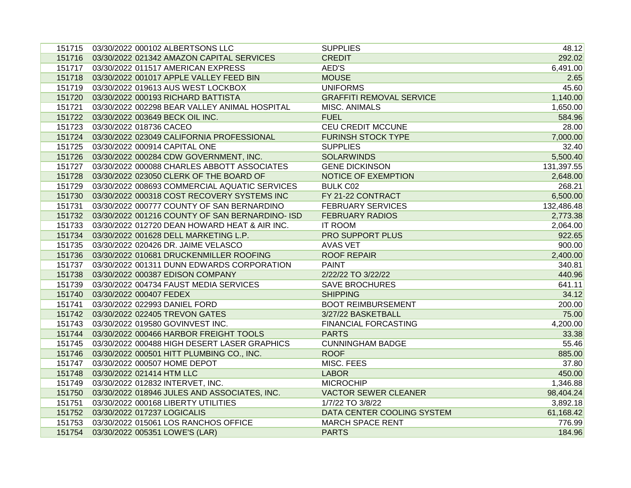|        | 151715 03/30/2022 000102 ALBERTSONS LLC          | <b>SUPPLIES</b>                 | 48.12      |
|--------|--------------------------------------------------|---------------------------------|------------|
|        | 151716 03/30/2022 021342 AMAZON CAPITAL SERVICES | <b>CREDIT</b>                   | 292.02     |
| 151717 | 03/30/2022 011517 AMERICAN EXPRESS               | AED'S                           | 6,491.00   |
| 151718 | 03/30/2022 001017 APPLE VALLEY FEED BIN          | <b>MOUSE</b>                    | 2.65       |
| 151719 | 03/30/2022 019613 AUS WEST LOCKBOX               | <b>UNIFORMS</b>                 | 45.60      |
| 151720 | 03/30/2022 000193 RICHARD BATTISTA               | <b>GRAFFITI REMOVAL SERVICE</b> | 1,140.00   |
| 151721 | 03/30/2022 002298 BEAR VALLEY ANIMAL HOSPITAL    | <b>MISC. ANIMALS</b>            | 1,650.00   |
| 151722 | 03/30/2022 003649 BECK OIL INC.                  | <b>FUEL</b>                     | 584.96     |
| 151723 | 03/30/2022 018736 CACEO                          | CEU CREDIT MCCUNE               | 28.00      |
| 151724 | 03/30/2022 023049 CALIFORNIA PROFESSIONAL        | <b>FURINSH STOCK TYPE</b>       | 7,000.00   |
| 151725 | 03/30/2022 000914 CAPITAL ONE                    | <b>SUPPLIES</b>                 | 32.40      |
| 151726 | 03/30/2022 000284 CDW GOVERNMENT, INC.           | <b>SOLARWINDS</b>               | 5,500.40   |
| 151727 | 03/30/2022 000088 CHARLES ABBOTT ASSOCIATES      | <b>GENE DICKINSON</b>           | 131,397.55 |
| 151728 | 03/30/2022 023050 CLERK OF THE BOARD OF          | NOTICE OF EXEMPTION             | 2,648.00   |
| 151729 | 03/30/2022 008693 COMMERCIAL AQUATIC SERVICES    | <b>BULK C02</b>                 | 268.21     |
| 151730 | 03/30/2022 000318 COST RECOVERY SYSTEMS INC      | FY 21-22 CONTRACT               | 6,500.00   |
| 151731 | 03/30/2022 000777 COUNTY OF SAN BERNARDINO       | <b>FEBRUARY SERVICES</b>        | 132,486.48 |
| 151732 | 03/30/2022 001216 COUNTY OF SAN BERNARDINO- ISD  | <b>FEBRUARY RADIOS</b>          | 2,773.38   |
| 151733 | 03/30/2022 012720 DEAN HOWARD HEAT & AIR INC.    | <b>IT ROOM</b>                  | 2,064.00   |
| 151734 | 03/30/2022 001628 DELL MARKETING L.P.            | <b>PRO SUPPORT PLUS</b>         | 922.65     |
| 151735 | 03/30/2022 020426 DR. JAIME VELASCO              | <b>AVAS VET</b>                 | 900.00     |
| 151736 | 03/30/2022 010681 DRUCKENMILLER ROOFING          | <b>ROOF REPAIR</b>              | 2,400.00   |
| 151737 | 03/30/2022 001311 DUNN EDWARDS CORPORATION       | <b>PAINT</b>                    | 340.81     |
| 151738 | 03/30/2022 000387 EDISON COMPANY                 | 2/22/22 TO 3/22/22              | 440.96     |
| 151739 | 03/30/2022 004734 FAUST MEDIA SERVICES           | <b>SAVE BROCHURES</b>           | 641.11     |
| 151740 | 03/30/2022 000407 FEDEX                          | <b>SHIPPING</b>                 | 34.12      |
| 151741 | 03/30/2022 022993 DANIEL FORD                    | <b>BOOT REIMBURSEMENT</b>       | 200.00     |
| 151742 | 03/30/2022 022405 TREVON GATES                   | 3/27/22 BASKETBALL              | 75.00      |
| 151743 | 03/30/2022 019580 GOVINVEST INC.                 | <b>FINANCIAL FORCASTING</b>     | 4,200.00   |
| 151744 | 03/30/2022 000466 HARBOR FREIGHT TOOLS           | <b>PARTS</b>                    | 33.38      |
| 151745 | 03/30/2022 000488 HIGH DESERT LASER GRAPHICS     | <b>CUNNINGHAM BADGE</b>         | 55.46      |
| 151746 | 03/30/2022 000501 HITT PLUMBING CO., INC.        | <b>ROOF</b>                     | 885.00     |
| 151747 | 03/30/2022 000507 HOME DEPOT                     | MISC. FEES                      | 37.80      |
| 151748 | 03/30/2022 021414 HTM LLC                        | <b>LABOR</b>                    | 450.00     |
| 151749 | 03/30/2022 012832 INTERVET, INC.                 | <b>MICROCHIP</b>                | 1,346.88   |
| 151750 | 03/30/2022 018946 JULES AND ASSOCIATES, INC.     | <b>VACTOR SEWER CLEANER</b>     | 98,404.24  |
| 151751 | 03/30/2022 000168 LIBERTY UTILITIES              | 1/7/22 TO 3/8/22                | 3,892.18   |
| 151752 | 03/30/2022 017237 LOGICALIS                      | DATA CENTER COOLING SYSTEM      | 61,168.42  |
| 151753 | 03/30/2022 015061 LOS RANCHOS OFFICE             | <b>MARCH SPACE RENT</b>         | 776.99     |
| 151754 | 03/30/2022 005351 LOWE'S (LAR)                   | <b>PARTS</b>                    | 184.96     |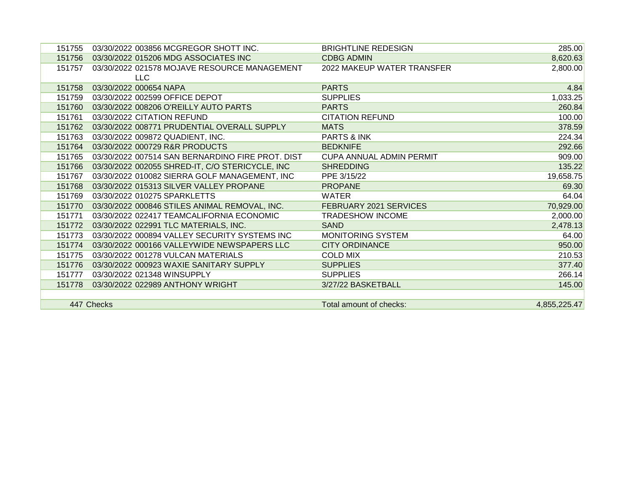| 151755     | 03/30/2022 003856 MCGREGOR SHOTT INC.            | <b>BRIGHTLINE REDESIGN</b>      | 285.00       |
|------------|--------------------------------------------------|---------------------------------|--------------|
| 151756     | 03/30/2022 015206 MDG ASSOCIATES INC             | <b>CDBG ADMIN</b>               | 8,620.63     |
| 151757     | 03/30/2022 021578 MOJAVE RESOURCE MANAGEMENT     | 2022 MAKEUP WATER TRANSFER      | 2,800.00     |
|            | LLC                                              |                                 |              |
| 151758     | 03/30/2022 000654 NAPA                           | <b>PARTS</b>                    | 4.84         |
| 151759     | 03/30/2022 002599 OFFICE DEPOT                   | <b>SUPPLIES</b>                 | 1,033.25     |
| 151760     | 03/30/2022 008206 O'REILLY AUTO PARTS            | <b>PARTS</b>                    | 260.84       |
| 151761     | 03/30/2022 CITATION REFUND                       | <b>CITATION REFUND</b>          | 100.00       |
| 151762     | 03/30/2022 008771 PRUDENTIAL OVERALL SUPPLY      | <b>MATS</b>                     | 378.59       |
| 151763     | 03/30/2022 009872 QUADIENT, INC.                 | PARTS & INK                     | 224.34       |
| 151764     | 03/30/2022 000729 R&R PRODUCTS                   | <b>BEDKNIFE</b>                 | 292.66       |
| 151765     | 03/30/2022 007514 SAN BERNARDINO FIRE PROT. DIST | <b>CUPA ANNUAL ADMIN PERMIT</b> | 909.00       |
| 151766     | 03/30/2022 002055 SHRED-IT, C/O STERICYCLE, INC  | <b>SHREDDING</b>                | 135.22       |
| 151767     | 03/30/2022 010082 SIERRA GOLF MANAGEMENT, INC    | PPE 3/15/22                     | 19,658.75    |
| 151768     | 03/30/2022 015313 SILVER VALLEY PROPANE          | <b>PROPANE</b>                  | 69.30        |
| 151769     | 03/30/2022 010275 SPARKLETTS                     | <b>WATER</b>                    | 64.04        |
| 151770     | 03/30/2022 000846 STILES ANIMAL REMOVAL, INC.    | FEBRUARY 2021 SERVICES          | 70,929.00    |
| 151771     | 03/30/2022 022417 TEAMCALIFORNIA ECONOMIC        | <b>TRADESHOW INCOME</b>         | 2,000.00     |
| 151772     | 03/30/2022 022991 TLC MATERIALS, INC.            | <b>SAND</b>                     | 2,478.13     |
| 151773     | 03/30/2022 000894 VALLEY SECURITY SYSTEMS INC    | <b>MONITORING SYSTEM</b>        | 64.00        |
| 151774     | 03/30/2022 000166 VALLEYWIDE NEWSPAPERS LLC      | <b>CITY ORDINANCE</b>           | 950.00       |
| 151775     | 03/30/2022 001278 VULCAN MATERIALS               | <b>COLD MIX</b>                 | 210.53       |
| 151776     | 03/30/2022 000923 WAXIE SANITARY SUPPLY          | <b>SUPPLIES</b>                 | 377.40       |
| 151777     | 03/30/2022 021348 WINSUPPLY                      | <b>SUPPLIES</b>                 | 266.14       |
| 151778     | 03/30/2022 022989 ANTHONY WRIGHT                 | 3/27/22 BASKETBALL              | 145.00       |
|            |                                                  |                                 |              |
| 447 Checks |                                                  | Total amount of checks:         | 4,855,225.47 |